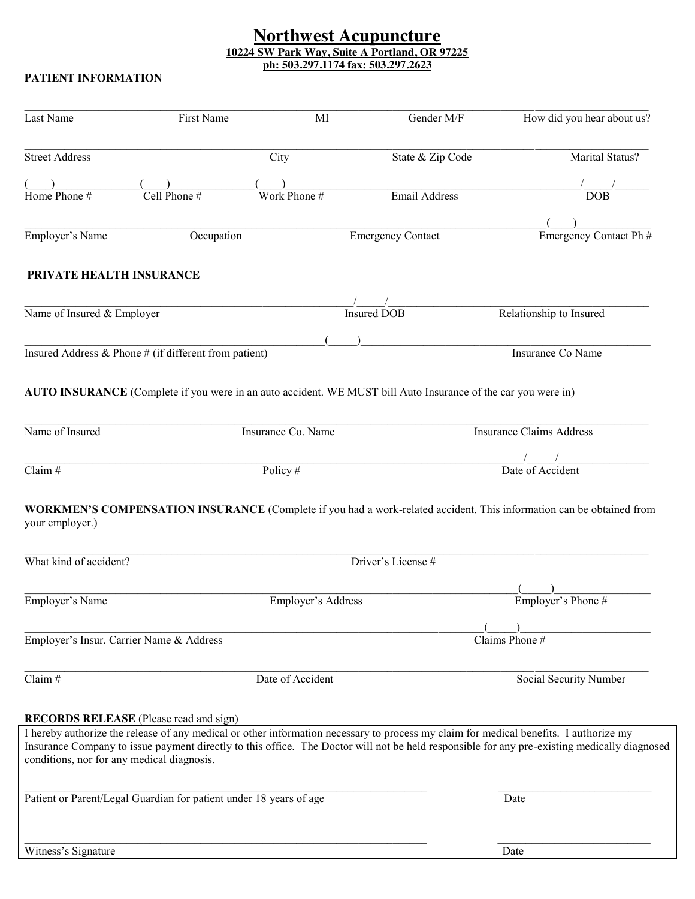#### **Northwest Acupuncture 10224 SW Park Way, Suite A Portland, OR 97225 ph: 503.297.1174 fax: 503.297.2623**

#### **PATIENT INFORMATION**

| Last Name                                 | First Name                                                         | MI                 | Gender M/F                                                                                                    | How did you hear about us?                                                                                                                                                                                                                                                            |  |
|-------------------------------------------|--------------------------------------------------------------------|--------------------|---------------------------------------------------------------------------------------------------------------|---------------------------------------------------------------------------------------------------------------------------------------------------------------------------------------------------------------------------------------------------------------------------------------|--|
| <b>Street Address</b>                     |                                                                    | City               | State & Zip Code                                                                                              | Marital Status?                                                                                                                                                                                                                                                                       |  |
|                                           |                                                                    |                    |                                                                                                               |                                                                                                                                                                                                                                                                                       |  |
| Home $\overline{\text{Phone}}$ #          | Cell Phone $#$                                                     | Work Phone #       | Email Address                                                                                                 | <b>DOB</b>                                                                                                                                                                                                                                                                            |  |
|                                           |                                                                    |                    |                                                                                                               |                                                                                                                                                                                                                                                                                       |  |
| Employer's Name                           | Occupation                                                         |                    | <b>Emergency Contact</b>                                                                                      | Emergency Contact Ph #                                                                                                                                                                                                                                                                |  |
| PRIVATE HEALTH INSURANCE                  |                                                                    |                    |                                                                                                               |                                                                                                                                                                                                                                                                                       |  |
| Name of Insured & Employer                |                                                                    |                    | <b>Insured DOB</b>                                                                                            | Relationship to Insured                                                                                                                                                                                                                                                               |  |
|                                           |                                                                    |                    |                                                                                                               |                                                                                                                                                                                                                                                                                       |  |
|                                           | Insured Address & Phone # (if different from patient)              |                    |                                                                                                               | Insurance Co Name                                                                                                                                                                                                                                                                     |  |
|                                           |                                                                    |                    | AUTO INSURANCE (Complete if you were in an auto accident. WE MUST bill Auto Insurance of the car you were in) |                                                                                                                                                                                                                                                                                       |  |
| Name of Insured                           |                                                                    | Insurance Co. Name |                                                                                                               | <b>Insurance Claims Address</b>                                                                                                                                                                                                                                                       |  |
|                                           |                                                                    |                    |                                                                                                               |                                                                                                                                                                                                                                                                                       |  |
| $\overline{\text{Claim #}}$               |                                                                    | Policy #           |                                                                                                               | Date of Accident                                                                                                                                                                                                                                                                      |  |
| your employer.)<br>What kind of accident? |                                                                    |                    | Driver's License #                                                                                            | <b>WORKMEN'S COMPENSATION INSURANCE</b> (Complete if you had a work-related accident. This information can be obtained from                                                                                                                                                           |  |
|                                           |                                                                    |                    |                                                                                                               |                                                                                                                                                                                                                                                                                       |  |
| Employer's Name                           |                                                                    | Employer's Address |                                                                                                               | Employer's Phone #                                                                                                                                                                                                                                                                    |  |
|                                           |                                                                    |                    |                                                                                                               |                                                                                                                                                                                                                                                                                       |  |
|                                           | Employer's Insur. Carrier Name & Address                           |                    |                                                                                                               | Claims Phone $#$                                                                                                                                                                                                                                                                      |  |
| Claim#                                    |                                                                    | Date of Accident   |                                                                                                               | Social Security Number                                                                                                                                                                                                                                                                |  |
|                                           | <b>RECORDS RELEASE</b> (Please read and sign)                      |                    |                                                                                                               |                                                                                                                                                                                                                                                                                       |  |
|                                           | conditions, nor for any medical diagnosis.                         |                    |                                                                                                               | I hereby authorize the release of any medical or other information necessary to process my claim for medical benefits. I authorize my<br>Insurance Company to issue payment directly to this office. The Doctor will not be held responsible for any pre-existing medically diagnosed |  |
|                                           | Patient or Parent/Legal Guardian for patient under 18 years of age |                    |                                                                                                               | Date                                                                                                                                                                                                                                                                                  |  |
| Witness's Signature                       |                                                                    |                    |                                                                                                               | Date                                                                                                                                                                                                                                                                                  |  |
|                                           |                                                                    |                    |                                                                                                               |                                                                                                                                                                                                                                                                                       |  |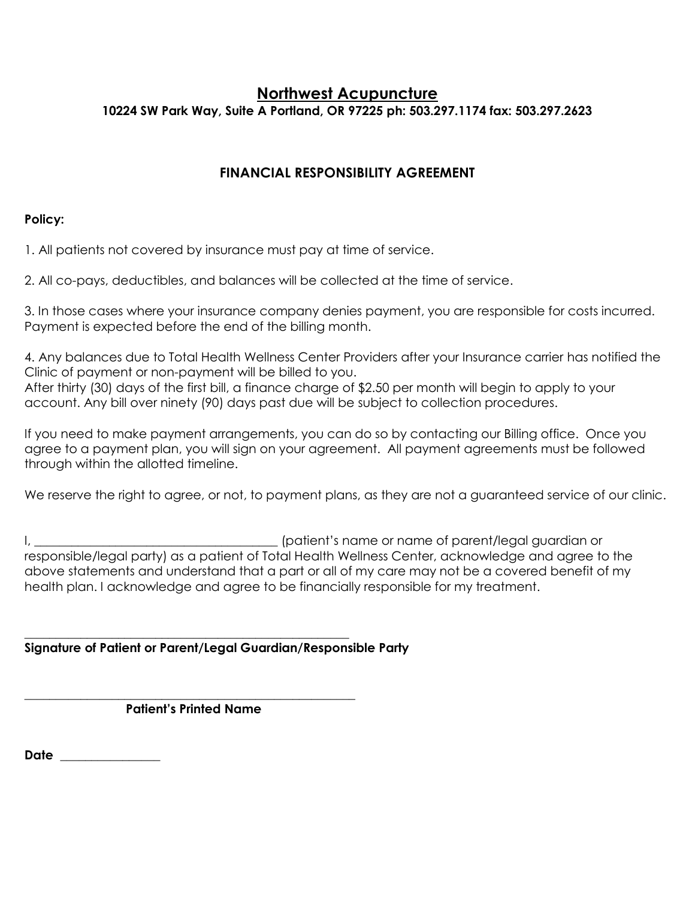### **Northwest Acupuncture 10224 SW Park Way, Suite A Portland, OR 97225 ph: 503.297.1174 fax: 503.297.2623**

### **FINANCIAL RESPONSIBILITY AGREEMENT**

#### **Policy:**

1. All patients not covered by insurance must pay at time of service.

2. All co-pays, deductibles, and balances will be collected at the time of service.

3. In those cases where your insurance company denies payment, you are responsible for costs incurred. Payment is expected before the end of the billing month.

4. Any balances due to Total Health Wellness Center Providers after your Insurance carrier has notified the Clinic of payment or non-payment will be billed to you. After thirty (30) days of the first bill, a finance charge of \$2.50 per month will begin to apply to your account. Any bill over ninety (90) days past due will be subject to collection procedures.

If you need to make payment arrangements, you can do so by contacting our Billing office. Once you agree to a payment plan, you will sign on your agreement. All payment agreements must be followed through within the allotted timeline.

We reserve the right to agree, or not, to payment plans, as they are not a guaranteed service of our clinic.

I, \_\_\_\_\_\_\_\_\_\_\_\_\_\_\_\_\_\_\_\_\_\_\_\_\_\_\_\_\_\_\_\_\_\_\_\_\_\_\_ (patient's name or name of parent/legal guardian or responsible/legal party) as a patient of Total Health Wellness Center, acknowledge and agree to the above statements and understand that a part or all of my care may not be a covered benefit of my health plan. I acknowledge and agree to be financially responsible for my treatment.

**Signature of Patient or Parent/Legal Guardian/Responsible Party**

\_\_\_\_\_\_\_\_\_\_\_\_\_\_\_\_\_\_\_\_\_\_\_\_\_\_\_\_\_\_\_\_\_\_\_\_\_\_\_\_\_\_\_\_\_\_\_\_\_\_\_\_\_  **Patient's Printed Name**

\_\_\_\_\_\_\_\_\_\_\_\_\_\_\_\_\_\_\_\_\_\_\_\_\_\_\_\_\_\_\_\_\_\_\_\_\_\_\_\_\_\_\_\_\_\_\_\_\_\_\_\_

**Date** \_\_\_\_\_\_\_\_\_\_\_\_\_\_\_\_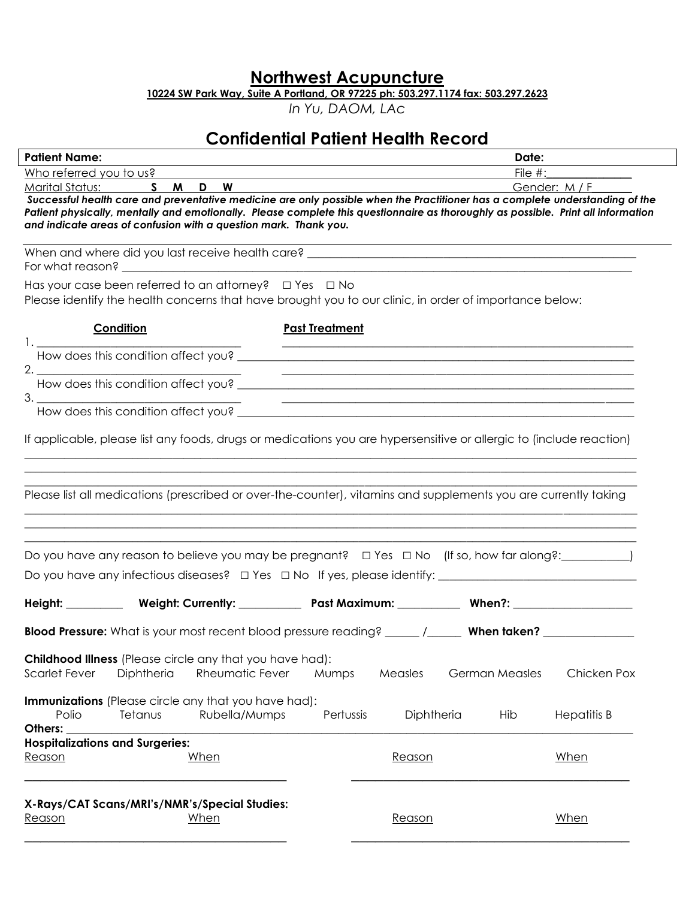**Northwest Acupuncture**

**10224 SW Park Way, Suite A Portland, OR 97225 ph: 503.297.1174 fax: 503.297.2623**

*In Yu, DAOM, LAc*

# **Confidential Patient Health Record**

| <b>Patient Name:</b>                                                                                                                                                                                                                                                                                                                                                                 |                         | Date:                                |  |  |  |  |  |
|--------------------------------------------------------------------------------------------------------------------------------------------------------------------------------------------------------------------------------------------------------------------------------------------------------------------------------------------------------------------------------------|-------------------------|--------------------------------------|--|--|--|--|--|
| Who referred you to us?                                                                                                                                                                                                                                                                                                                                                              |                         | File $#$ :                           |  |  |  |  |  |
| Marital Status:<br>S M D W<br>Gender: M / F<br>Successful health care and preventative medicine are only possible when the Practitioner has a complete understanding of the<br>Patient physically, mentally and emotionally. Please complete this questionnaire as thoroughly as possible. Print all information<br>and indicate areas of confusion with a question mark. Thank you. |                         |                                      |  |  |  |  |  |
| For what reason? The contract of the contract of the contract of the contract of the contract of the contract of the contract of the contract of the contract of the contract of the contract of the contract of the contract                                                                                                                                                        |                         |                                      |  |  |  |  |  |
| Has your case been referred to an attorney? $\Box$ Yes $\Box$ No<br>Please identify the health concerns that have brought you to our clinic, in order of importance below:                                                                                                                                                                                                           |                         |                                      |  |  |  |  |  |
| Condition                                                                                                                                                                                                                                                                                                                                                                            | <b>Past Treatment</b>   |                                      |  |  |  |  |  |
| 1. How does this condition affect you?                                                                                                                                                                                                                                                                                                                                               |                         |                                      |  |  |  |  |  |
| 2. How does this condition affect you?<br>How does this condition affect you?                                                                                                                                                                                                                                                                                                        |                         |                                      |  |  |  |  |  |
| 3. How does this condition affect you?<br>How does this condition affect you?                                                                                                                                                                                                                                                                                                        |                         |                                      |  |  |  |  |  |
| If applicable, please list any foods, drugs or medications you are hypersensitive or allergic to (include reaction)                                                                                                                                                                                                                                                                  |                         |                                      |  |  |  |  |  |
| Please list all medications (prescribed or over-the-counter), vitamins and supplements you are currently taking                                                                                                                                                                                                                                                                      |                         |                                      |  |  |  |  |  |
| Do you have any reason to believe you may be pregnant? $\Box$ Yes $\Box$ No (If so, how far along?: _________)                                                                                                                                                                                                                                                                       |                         |                                      |  |  |  |  |  |
|                                                                                                                                                                                                                                                                                                                                                                                      |                         |                                      |  |  |  |  |  |
| Height: Weight: Currently: Past Maximum: When?: When?:                                                                                                                                                                                                                                                                                                                               |                         |                                      |  |  |  |  |  |
|                                                                                                                                                                                                                                                                                                                                                                                      |                         |                                      |  |  |  |  |  |
| Childhood Illness (Please circle any that you have had):<br>Diphtheria<br>Rheumatic Fever<br>Scarlet Fever                                                                                                                                                                                                                                                                           | Measles<br>Mumps        | <b>German Measles</b><br>Chicken Pox |  |  |  |  |  |
| Immunizations (Please circle any that you have had):<br>Polio<br>Rubella/Mumps<br>Tetanus<br>Others: $\overline{\phantom{a}}$                                                                                                                                                                                                                                                        | Diphtheria<br>Pertussis | Hib<br><b>Hepatitis B</b>            |  |  |  |  |  |
| <b>Hospitalizations and Surgeries:</b>                                                                                                                                                                                                                                                                                                                                               |                         |                                      |  |  |  |  |  |
| <u>Reason</u><br>When                                                                                                                                                                                                                                                                                                                                                                | Reason                  | When                                 |  |  |  |  |  |
| X-Rays/CAT Scans/MRI's/NMR's/Special Studies:<br>Reason<br>When                                                                                                                                                                                                                                                                                                                      | Reason                  | When                                 |  |  |  |  |  |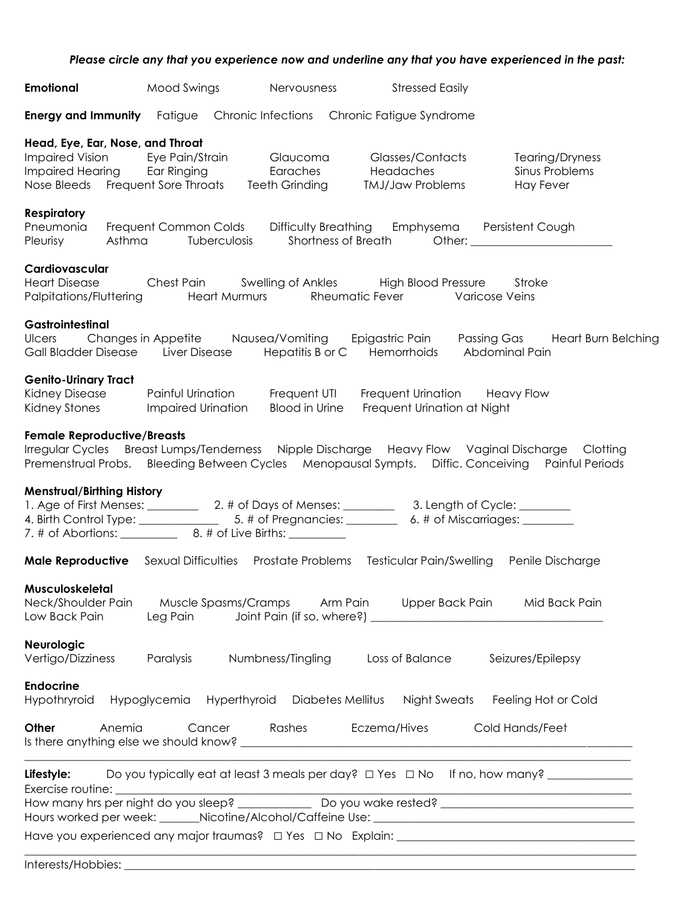#### *Please circle any that you experience now and underline any that you have experienced in the past:*

| <b>Emotional</b>                                                                                                              | Mood Swings                                                                    | Nervousness                | <b>Stressed Easily</b>                                                                                                                                                                               |                                                                                            |
|-------------------------------------------------------------------------------------------------------------------------------|--------------------------------------------------------------------------------|----------------------------|------------------------------------------------------------------------------------------------------------------------------------------------------------------------------------------------------|--------------------------------------------------------------------------------------------|
|                                                                                                                               | <b>Energy and Immunity</b> Fatigue Chronic Infections Chronic Fatigue Syndrome |                            |                                                                                                                                                                                                      |                                                                                            |
| Head, Eye, Ear, Nose, and Throat<br>Impaired Hearing Ear Ringing Earaches<br>Nose Bleeds Frequent Sore Throats Teeth Grinding | Impaired Vision Eye Pain/Strain Glaucoma                                       |                            | Glasses/Contacts<br>Headaches<br><b>TMJ/Jaw Problems</b>                                                                                                                                             | Tearing/Dryness<br>Sinus Problems<br>Hay Fever                                             |
| <b>Respiratory</b><br>Pneumonia<br>Pleurisy<br>Asthma                                                                         | Tuberculosis                                                                   | <b>Shortness of Breath</b> | Frequent Common Colds Difficulty Breathing Emphysema Persistent Cough                                                                                                                                |                                                                                            |
| Cardiovascular<br><b>Heart Disease</b>                                                                                        | Palpitations/Fluttering Heart Murmurs                                          |                            | Chest Pain Swelling of Ankles High Blood Pressure Stroke<br>Rheumatic Fever Varicose Veins                                                                                                           |                                                                                            |
| Gastrointestinal                                                                                                              | Gall Bladder Disease Liver Disease Hepatitis B or C Hemorrhoids                |                            | Abdominal Pain                                                                                                                                                                                       | Ulcers Changes in Appetite Nausea/Vomiting Epigastric Pain Passing Gas Heart Burn Belching |
| <b>Genito-Urinary Tract</b><br>Kidney Stones                                                                                  | <b>Impaired Urination</b>                                                      | <b>Blood in Urine</b>      | Frequent Urination at Night                                                                                                                                                                          |                                                                                            |
| <b>Female Reproductive/Breasts</b>                                                                                            |                                                                                |                            | Irregular Cycles Breast Lumps/Tenderness Nipple Discharge Heavy Flow Vaginal Discharge Clotting<br>Premenstrual Probs. Bleeding Between Cycles Menopausal Sympts. Diffic. Conceiving Painful Periods |                                                                                            |
| <b>Menstrual/Birthing History</b>                                                                                             |                                                                                |                            |                                                                                                                                                                                                      |                                                                                            |
|                                                                                                                               |                                                                                |                            | <b>Male Reproductive</b> Sexual Difficulties Prostate Problems Testicular Pain/Swelling                                                                                                              | Penile Discharge                                                                           |
| Musculoskeletal<br>Neck/Shoulder Pain<br>Low Back Pain                                                                        |                                                                                |                            | Muscle Spasms/Cramps          Arm Pain          Upper Back Pain          Mid Back Pain                                                                                                               |                                                                                            |
| <b>Neurologic</b><br>Vertigo/Dizziness Paralysis                                                                              |                                                                                | Numbness/Tingling          | Loss of Balance                                                                                                                                                                                      | Seizures/Epilepsy                                                                          |
| <b>Endocrine</b>                                                                                                              | Hypothryroid Hypoglycemia Hyperthyroid Diabetes Mellitus Night Sweats          |                            |                                                                                                                                                                                                      | Feeling Hot or Cold                                                                        |
| Other<br>Anemia                                                                                                               | Cancer                                                                         | Rashes                     | Eczema/Hives                                                                                                                                                                                         | Cold Hands/Feet                                                                            |
| Lifestyle:                                                                                                                    |                                                                                |                            |                                                                                                                                                                                                      |                                                                                            |

Interests/Hobbies: \_\_\_\_\_\_\_\_\_\_\_\_\_\_\_\_\_\_\_\_\_\_\_\_\_\_\_\_\_\_\_\_\_\_\_\_\_\_\_\_\_\_\_\_\_\_\_\_\_\_\_\_\_\_\_\_\_\_\_\_\_\_\_\_\_\_\_\_\_\_\_\_\_\_\_\_\_\_\_\_\_\_\_\_\_\_\_\_\_\_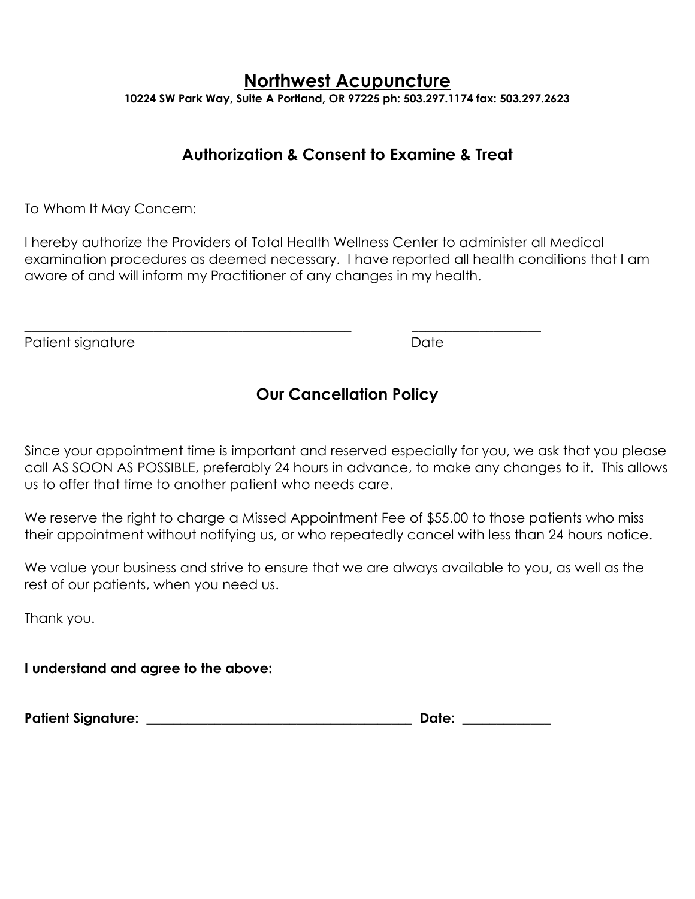## **Northwest Acupuncture**

**10224 SW Park Way, Suite A Portland, OR 97225 ph: 503.297.1174 fax: 503.297.2623**

### **Authorization & Consent to Examine & Treat**

To Whom It May Concern:

I hereby authorize the Providers of Total Health Wellness Center to administer all Medical examination procedures as deemed necessary. I have reported all health conditions that I am aware of and will inform my Practitioner of any changes in my health.

\_\_\_\_\_\_\_\_\_\_\_\_\_\_\_\_\_\_\_\_\_\_\_\_\_\_\_\_\_\_\_\_\_\_\_\_\_\_\_\_\_\_\_\_\_\_\_\_ \_\_\_\_\_\_\_\_\_\_\_\_\_\_\_\_\_\_\_

Patient signature **Date** Date **Date** 

## **Our Cancellation Policy**

Since your appointment time is important and reserved especially for you, we ask that you please call AS SOON AS POSSIBLE, preferably 24 hours in advance, to make any changes to it. This allows us to offer that time to another patient who needs care.

We reserve the right to charge a Missed Appointment Fee of \$55.00 to those patients who miss their appointment without notifying us, or who repeatedly cancel with less than 24 hours notice.

We value your business and strive to ensure that we are always available to you, as well as the rest of our patients, when you need us.

Thank you.

**I understand and agree to the above:**

**Patient Signature: \_\_\_\_\_\_\_\_\_\_\_\_\_\_\_\_\_\_\_\_\_\_\_\_\_\_\_\_\_\_\_\_\_\_\_\_\_\_\_ Date: \_\_\_\_\_\_\_\_\_\_\_\_\_**